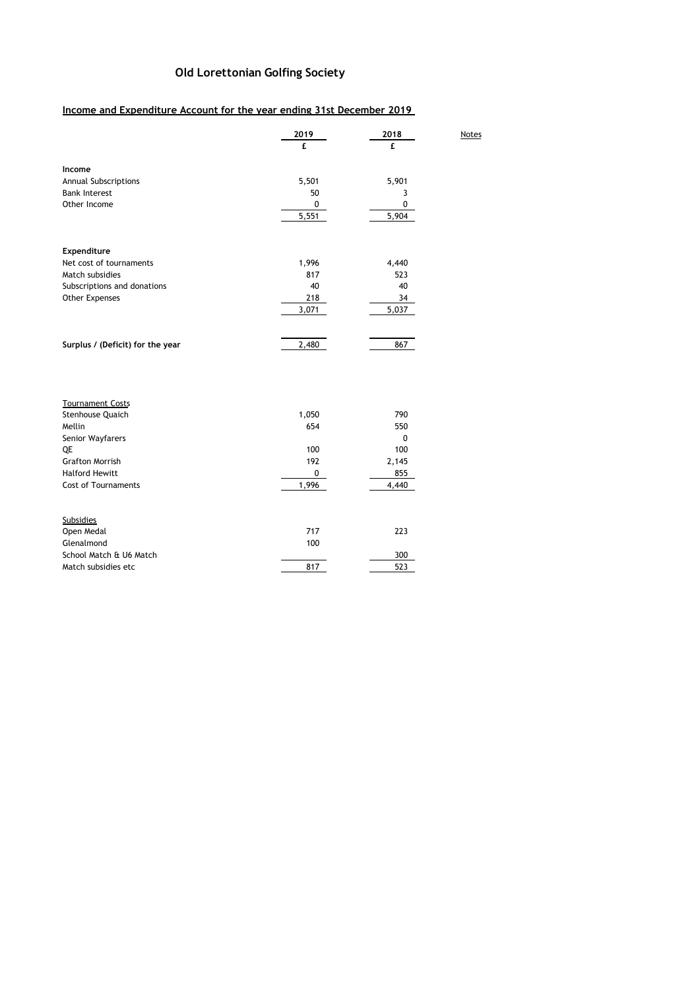## **Old Lorettonian Golfing Society**

**2019 2018** Notes

## **Income and Expenditure Account for the year ending 31st December 2019**

|                                                       | 2019         | 2018       |
|-------------------------------------------------------|--------------|------------|
|                                                       | £.           | f.         |
| Income                                                |              |            |
| Annual Subscriptions                                  | 5,501        | 5,901      |
| <b>Bank Interest</b>                                  | 50           | 3          |
| Other Income                                          | 0            | 0          |
|                                                       | 5,551        | 5,904      |
|                                                       |              |            |
| Expenditure<br>Net cost of tournaments                | 1,996        | 4,440      |
| Match subsidies                                       | 817          | 523        |
| Subscriptions and donations                           | 40           | 40         |
| <b>Other Expenses</b>                                 | 218          | 34         |
|                                                       | 3,071        | 5,037      |
|                                                       |              |            |
| Surplus / (Deficit) for the year                      | 2,480        | 867        |
| <b>Tournament Costs</b><br>Stenhouse Quaich<br>Mellin | 1,050<br>654 | 790<br>550 |
| Senior Wayfarers                                      |              | 0          |
| QE                                                    | 100          | 100        |
| <b>Grafton Morrish</b>                                | 192          | 2,145      |
| <b>Halford Hewitt</b>                                 | 0            | 855        |
| <b>Cost of Tournaments</b>                            | 1,996        | 4,440      |
| <b>Subsidies</b>                                      |              |            |
| Open Medal                                            | 717          | 223        |
| Glenalmond                                            | 100          |            |
| School Match & U6 Match                               |              | 300        |
| Match subsidies etc                                   | 817          | 523        |